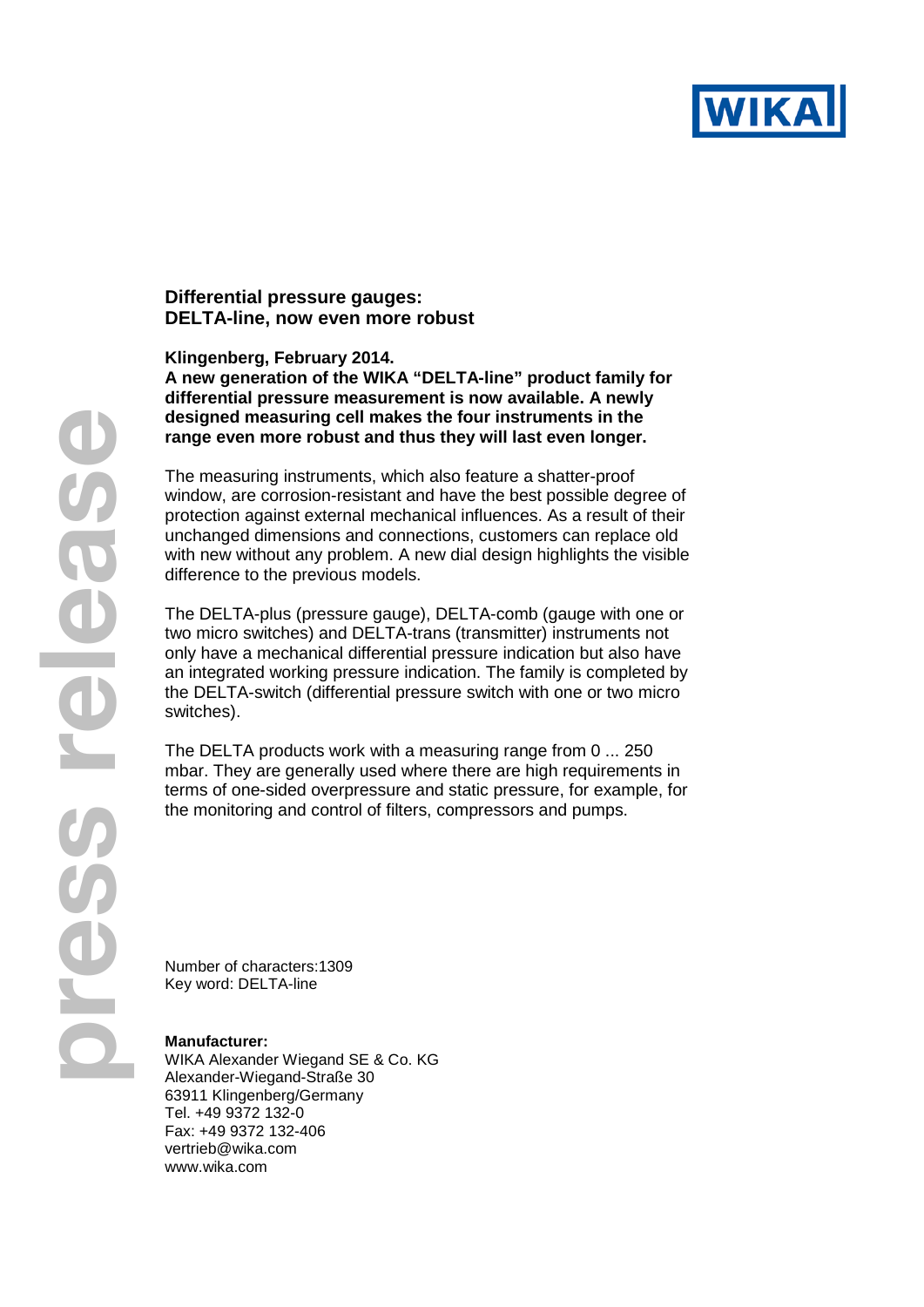

## **Differential pressure gauges: DELTA-line, now even more robust**

**Klingenberg, February 2014.** 

**A new generation of the WIKA "DELTA-line" product family for differential pressure measurement is now available. A newly designed measuring cell makes the four instruments in the range even more robust and thus they will last even longer.**

The measuring instruments, which also feature a shatter-proof window, are corrosion-resistant and have the best possible degree of protection against external mechanical influences. As a result of their unchanged dimensions and connections, customers can replace old with new without any problem. A new dial design highlights the visible difference to the previous models.

The DELTA-plus (pressure gauge), DELTA-comb (gauge with one or two micro switches) and DELTA-trans (transmitter) instruments not only have a mechanical differential pressure indication but also have an integrated working pressure indication. The family is completed by the DELTA-switch (differential pressure switch with one or two micro switches).

The DELTA products work with a measuring range from 0 ... 250 mbar. They are generally used where there are high requirements in terms of one-sided overpressure and static pressure, for example, for the monitoring and control of filters, compressors and pumps.

Number of characters:1309 Key word: DELTA-line

## **Manufacturer:**

WIKA Alexander Wiegand SE & Co. KG Alexander-Wiegand-Straße 30 63911 Klingenberg/Germany Tel. +49 9372 132-0 Fax: +49 9372 132-406 vertrieb@wika.com www.wika.com